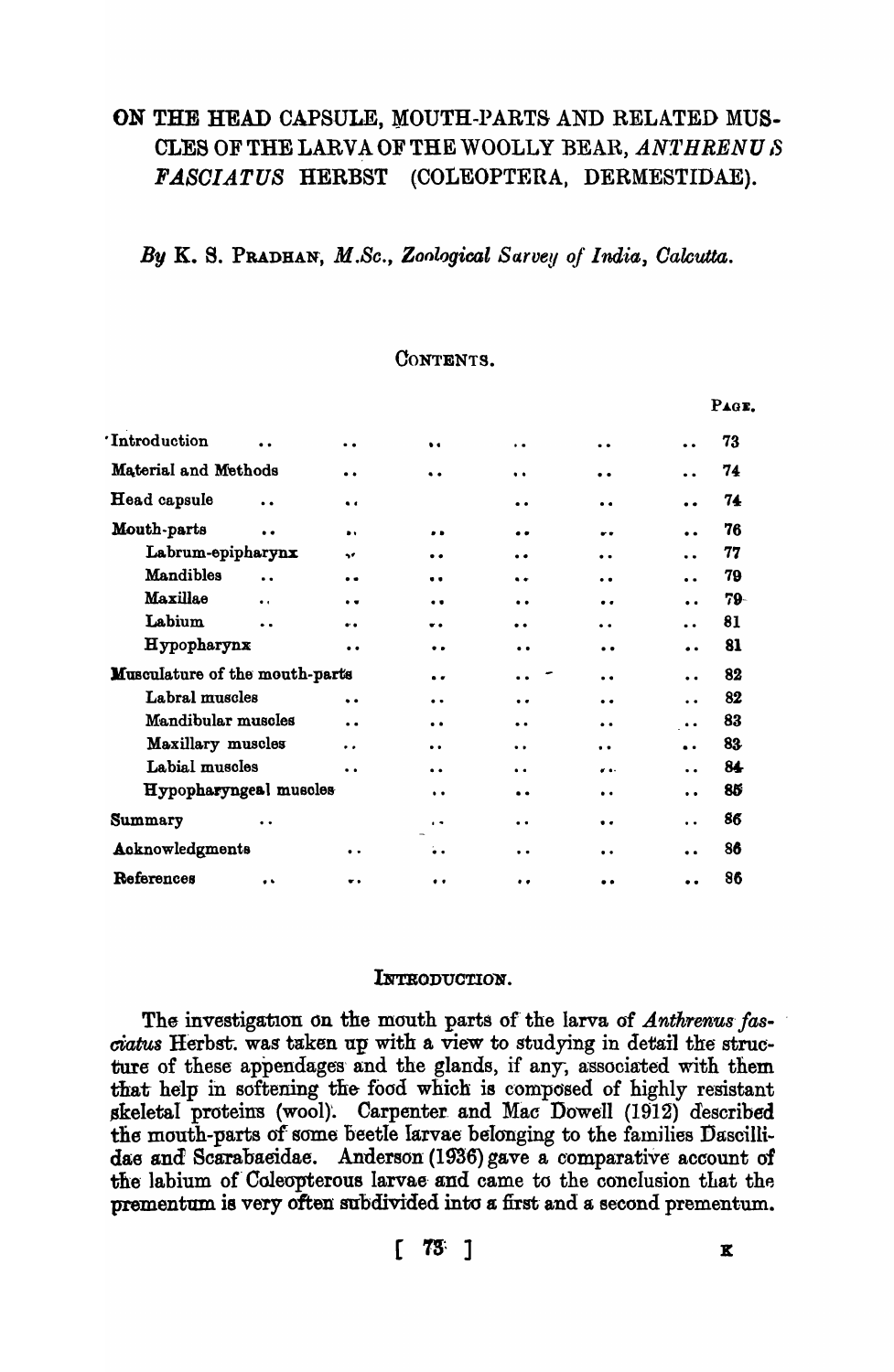# ON THE HEAD CAPSULE, MOUTH-PARTS AND RELATED MUS-CLES OF THE LARVA OF THE WOOLLY BEAR, ANTHRENUS FASCIATUS HERBST (COLEOPTERA, DERMESTIDAE).

# By K. S. PRADHAN, M.Sc., Zoological Sarvey of India, Calcutta.

## CONTENTS.

|                                      |                      |                      |                      |                      |                      |                      | PAGE. |
|--------------------------------------|----------------------|----------------------|----------------------|----------------------|----------------------|----------------------|-------|
| 'Introduction                        | . .                  | $\ddot{\phantom{a}}$ | $\bullet$            | $\bullet$            | $\ddot{\phantom{0}}$ | $\ddot{\bullet}$     | 73    |
| Material and Methods                 |                      | $\bullet$            | . .                  | $\bullet$            | $\bullet\bullet$     | . .                  | 74    |
| Head capsule<br>$\ddot{\phantom{a}}$ |                      | $\bullet$            |                      | $\bullet$            | $\bullet$            | $\bullet$            | 74    |
| Mouth-parts<br>$\ddot{\phantom{a}}$  |                      | $\bullet$            | . .                  |                      |                      | $\bullet$            | 76    |
| Labrum-epipharynx                    |                      | w                    | . .                  | . .                  | $\ddot{\phantom{a}}$ | $\ddot{\phantom{a}}$ | 77    |
| <b>Mandibles</b>                     | $\ddot{\phantom{a}}$ | $^{\bullet}$         |                      | $\bullet$            | $\ddot{\phantom{0}}$ | $\ddot{\phantom{a}}$ | 79    |
| <b>Maxillae</b>                      | $\bullet$            | $\bullet$            | . .                  | $\bullet\bullet$     | $\bullet\bullet$     | $\ddot{\phantom{a}}$ | 79-   |
| Labium                               | . .                  | $\bullet\bullet$     | $\bullet$            | $\bullet$            | $\ddot{\phantom{a}}$ | $\bullet$            | 81    |
| Hypopharynx                          |                      | $\bullet$            | . .                  | $\bullet$            | $\bullet$            | $\bullet$            | 81    |
| Musculature of the mouth-parts       |                      |                      | $\bullet$            | $\ddot{\phantom{a}}$ | $\bullet$            | $\ddot{\bullet}$     | 82    |
| Labral muscles                       |                      | $\ddot{\phantom{0}}$ | $\bullet$            | $\ddot{\phantom{a}}$ | $\bullet$            | $\ddot{\phantom{a}}$ | 82    |
| Mandibular muscles                   |                      | $\ddot{\phantom{a}}$ | $\bullet$            | . .                  | $\ddot{\phantom{0}}$ | $\bullet$            | 83    |
| Maxillary muscles                    |                      | . .                  | $\ddot{\phantom{0}}$ | $\ddot{\phantom{a}}$ | $\ddot{\phantom{a}}$ | $\ddot{\phantom{a}}$ | 83    |
| Labial muscles                       |                      | $\bullet$            | $\ddot{\phantom{a}}$ | $\bullet$            | $\bullet$ .          | $\ddot{\phantom{0}}$ | 84    |
| Hypopharyngeal muscles               |                      |                      | $\ddot{\phantom{0}}$ | $^{\bullet}$         | $\bullet\bullet$     | $\ddot{\phantom{0}}$ | 85    |
| Summary                              | $\bullet\bullet$     |                      | $\ddot{\phantom{1}}$ | $\bullet$            | $\bullet$            | $\ddot{\phantom{a}}$ | 86    |
| Acknowledgments                      |                      | $\bullet\;\bullet$   | . .                  | $\cdot$              | $\bullet$ $\bullet$  | $\ddot{\phantom{a}}$ | 86    |
| References                           | $\bullet$            | $\bullet$            | $\bullet$            | $\bullet$            | $\ddot{\phantom{a}}$ |                      | 86    |

## INTRODUCTION.

The investigation on the mouth parts of the larva of Anthrenus fasciatus Herbst. was taken up with a view to studying in detail the structure of these appendages and the glands, if any, associated with them that help in softening the food which is composed of highly resistant skeletal proteins (wool). Carpenter and Mac Dowell (1912) described the mouth-parts of some beetle larvae belonging to the families Dascillidae and Scarabaeidae. Anderson (1936) gave a comparative account of the labium of Coleopterous larvae and came to the conclusion that the prementum is very often subdivided into a first and a second prementum.

 $\begin{bmatrix} 73 \\ 1 \end{bmatrix}$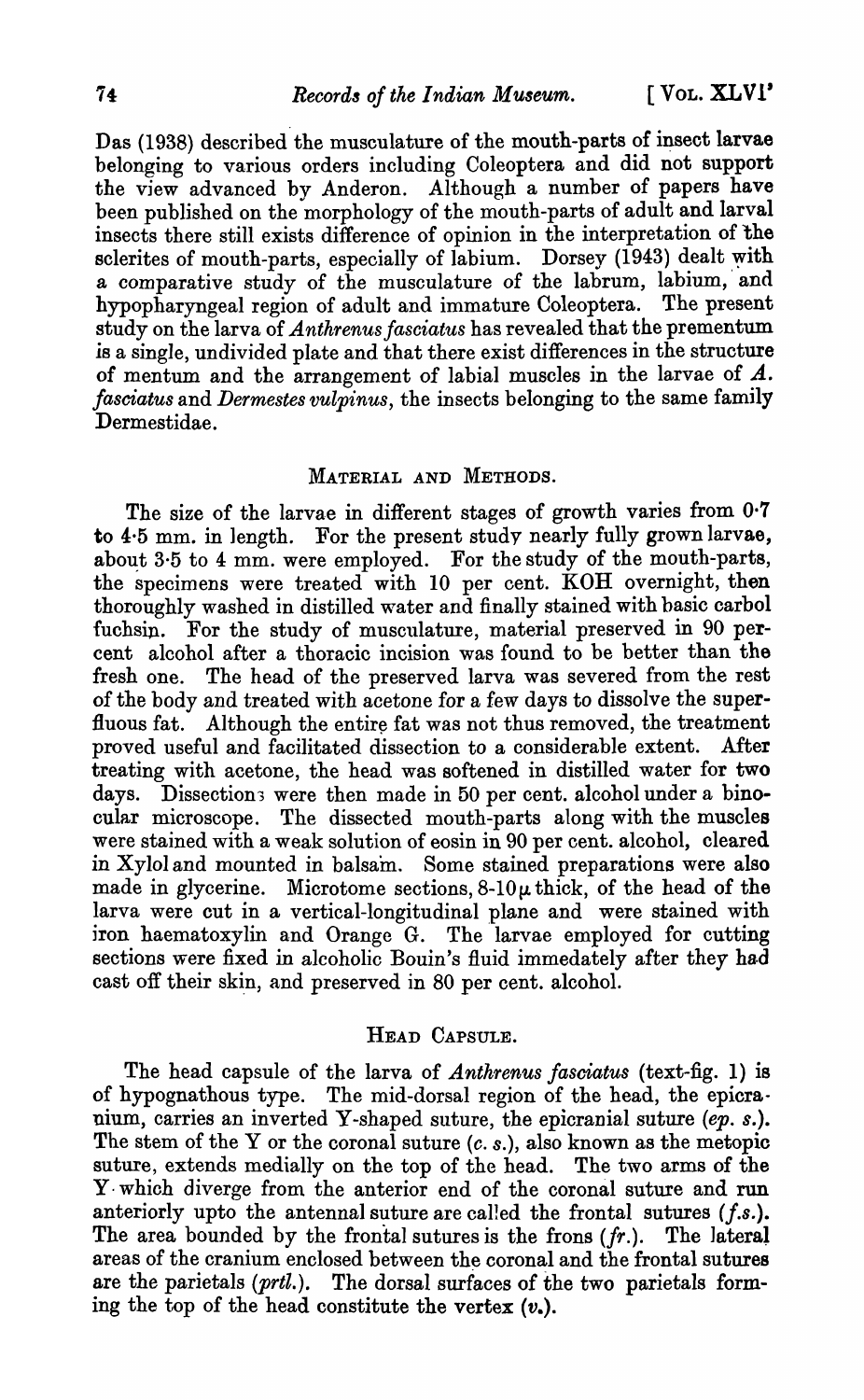Das (1938) described the musculature of the mouth-parts of insect larvae belonging to various orders including Coleoptera and did not support the view advanced by Anderon. Although a number of papers have been published on the morphology of the mouth-parts of adult and larval insects there still exists difference of opinion in the interpretation of the sclerites of mouth-parts, especially of labium. Dorsey (1943) dealt with a comparative study of the musculature of the labrum, labium, and hypopharyngeal region of adult and immature Coleoptera. The present study on the larva of *Anthrenus fasciatus* has revealed that the prementum is a single, undivided plate and that there exist differences in the structure of mentum and the arrangement of labial muscles in the larvae of A. *fasciatus* and *Dermestes vulpinus,* the insects belonging to the same family Dermestidae.

## MATERIAL AND METHODS.

The size of the larvae in different stages of growth varies from 0·7 to 4·5 mm. in 1ength. For the present study nearly fully grown larvae, about 3.5 to 4 mm. were employed. For the study of the mouth-parts, the specimens were treated with 10 per cent. KOH overnight, then thoroughly washed in distilled water and finally stained with basic carbol fuchsin. For the study of musculature, material preserved in 90 percent alcohol after a thoracic incision was found to be better than the fresh one. The head of the preserved larva was severed from the rest of the body and treated with acetone for a few days to dissolve the superfluous fat. Although the entire fat was not thus removed, the treatment proved useful and facilitated dissection to a considerable extent. Mter treating with acetone, the head was softened in distilled water for two days. Dissections were then made in 50 per cent. alcohol under a binocular microscope. The dissected mouth-parts along with the muscles were stained with a weak solution of eosin in 90 per cent. alcohol, cleared in Xylol and mounted in balsam. Some stained preparations were also made in glycerine. Microtome sections,  $8-10\mu$  thick, of the head of the larva were cut in a vertical-longitudinal plane and were stained with jron haematoxylin and Orange G. The larvae employed for cutting sections were fixed in alcoholic Bouin's fluid immedately after they had cast off their skin, and preserved in 80 per cent. alcohol.

# HEAD CAPSULE.

The head capsule of the larva of *Anthrenus fasciatus* (text-fig. 1) is of hypognathous type. The mid-dorsal region of the head, the epicranium, carries an inverted Y-shaped suture, the epicranial suture *(ep. s.).*  The stem of the Y or the coronal suture  $(c, s)$ , also known as the metopic suture, extends medially on the top of the head. The two arms of the y. which diverge from the anterior end of the coronal suture and run anteriorly upto the antennal suture are called the frontal sutures *(f.s.)*. The area bounded by the frontal sutures is the frons *(fr.).* The lateral areas of the cranium enclosed between the coronal and the frontal sutures are the parietals (prtl.). The dorsal surfaces of the two parietals forming the top of the head constitute the vertex  $(v_*)$ .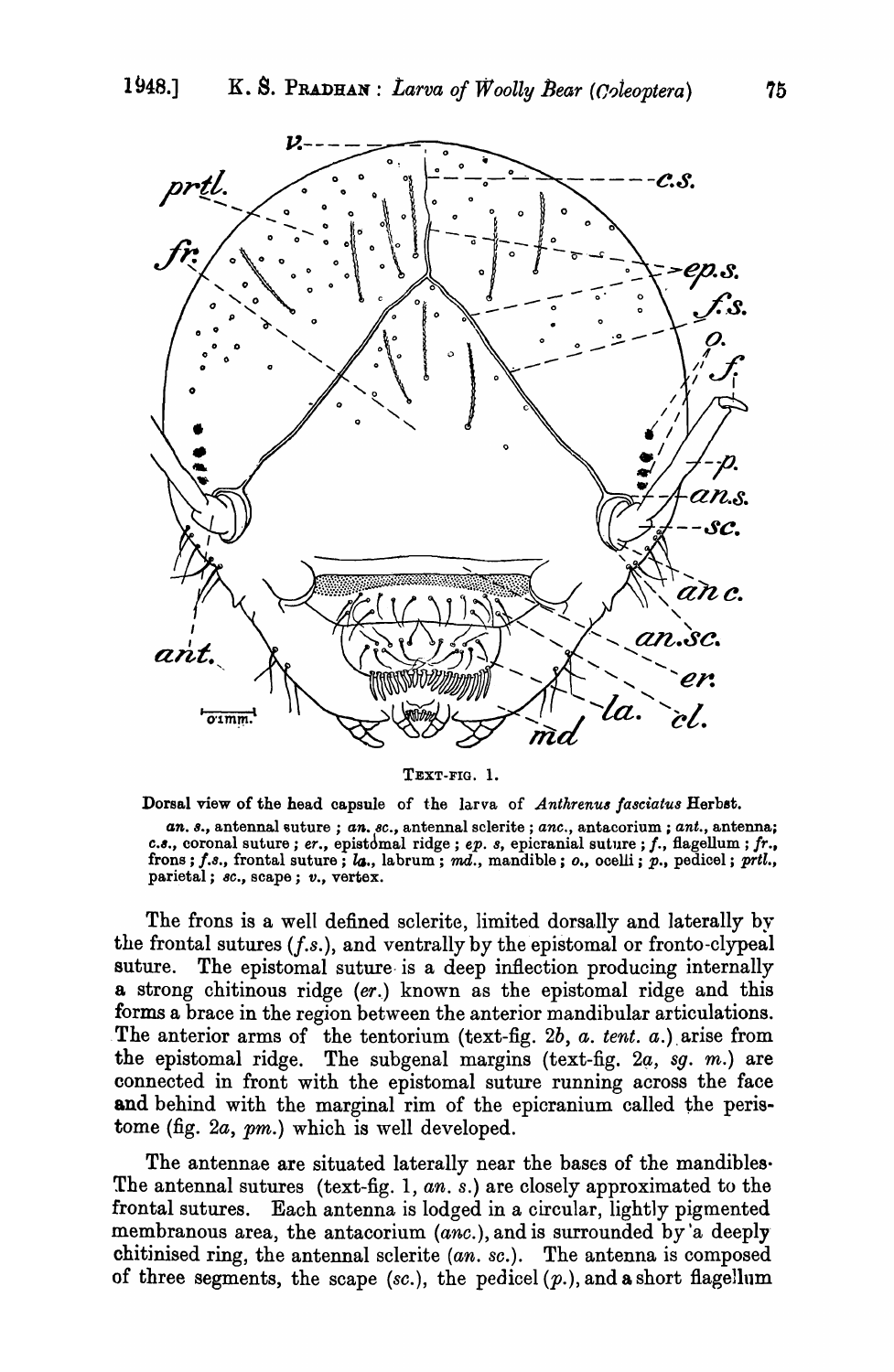

TEXT-FIG. 1.

Dorsal view of the head capsule of the larva of *Anthrenus fasciatus* Herbst.

*an. 8., antennal suture ; an. 8c., antennal sclerite ; anc., antacorium ; ant., antenna; c.s., coronal suture; er., epistdmal ridge; ep. s, epicranial suture; f., flagellum; fr.,* frons; f.s., frontal suture; la., labrum; md., mandible; *o.*, ocelli; p., pedicel; prtl., parietal; *8C.,* scape; *v.,* vertex.

The frons is a well defined sclerite, limited dorsally and laterally by the frontal sutures *(f.s.),* and ventrally by the epistomal or fronto-clypeal suture. The epistomal suture is a deep inflection producing internally a strong chitinous ridge *(er.)* known as the epistomal ridge and this forms a brace in the region between the anterior mandibular articulations . The anterior arms of the tentorium (text-fig. 2b, a. tent. a.) arise from the epistomal ridge. The subgenal margins (text-fig.  $2a, sq. m$ .) are connected in front with the epistomal suture running across the face and behind with the marginal rim of the epicranium called the peristome (fig. *2a,* pm.) which is well developed.

The antennae are situated laterally near the bases of the mandibles The antennal sutures (text-fig. 1, an. s.) are closely approximated to the frontal sutures. Each antenna is lodged in a circular, lightly pigmented membranous area, the antacorium (anc.), and is surrounded by a deeply chitinised ring, the antennal sclerite (an. *se.).* The antenna is composed of three segments, the scape  $(sc)$ , the pedicel  $(p_1)$ , and a short flagellum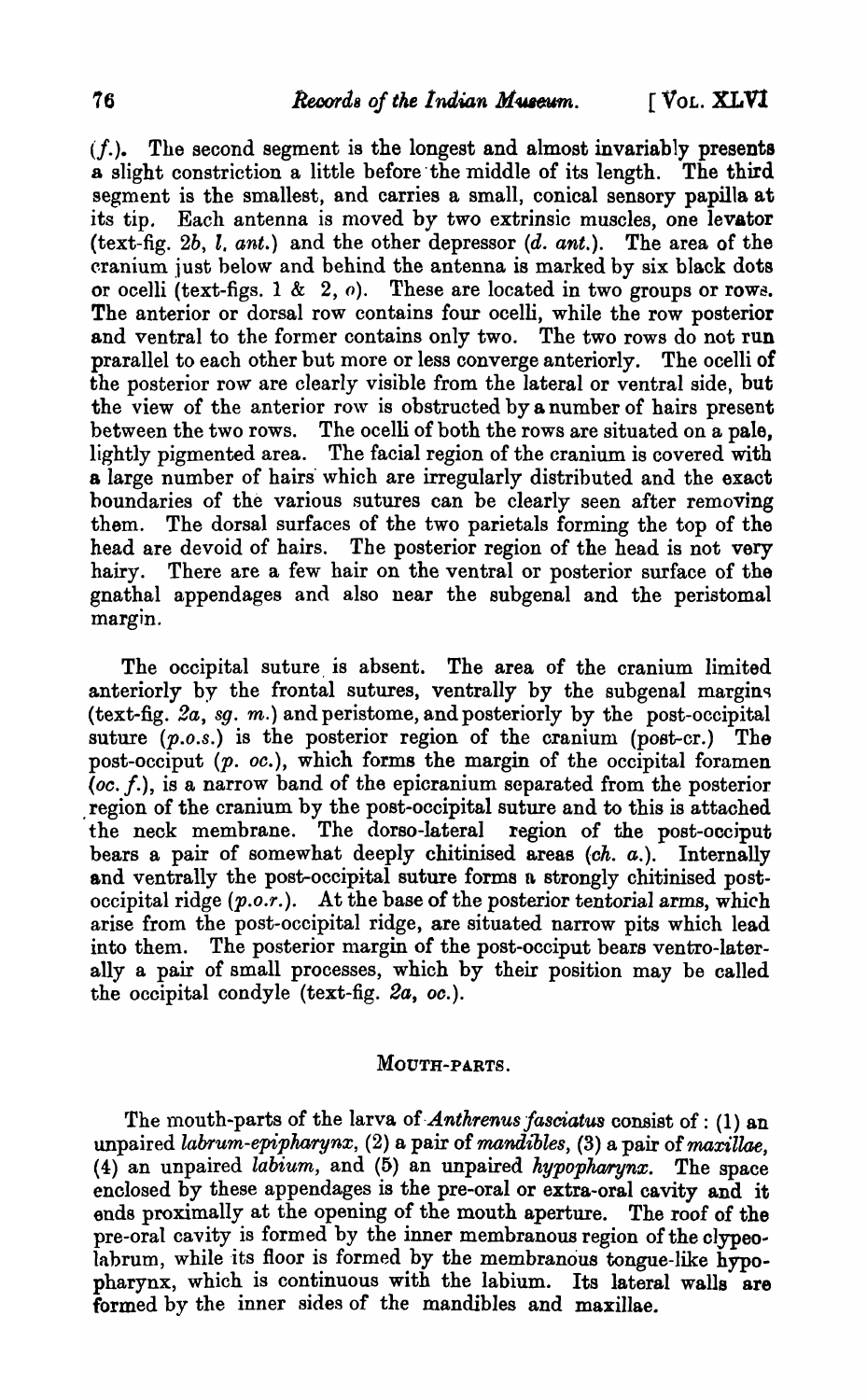$(f<sub>i</sub>)$ . The second segment is the longest and almost invariably presents a slight constriction a little before the middle of its length. The third segment is the smallest, and carries a small, conical sensory papilla at its tip. Each antenna is moved by two extrinsic muscles, one levator (text-fig. *2b, l. ant.)* and the other depressor (d. ant.). The area of the cranium just below and behind the antenna is marked by six black dots or ocelli (text-figs. 1 & 2,  $o$ ). These are located in two groups or rows. The anterior or dorsal row contains four ocelli, while the row posterior and ventral to the former contains only two. The two rows do not run prarallel to each other but more or less converge anteriorly. The ocelli of the posterior row are clearly visible from the lateral or ventral side, but the view of the anterior row is obstructed by a number of hairs present between the two rows. The ocelli of both the rows are situated on a pale, lightly pigmented area. The facial region of the cranium is covered with a large number of hairs which are irregularly distributed and the exact boundaries of the various sutures can be clearly seen after removing them. The dorsal surfaces of the two parietals forming the top of the head are devoid of hairs. The posterior region of the head is not very hairy. There are a few hair on the ventral or posterior surface of the gnathal appendages and also near the subgenal and the peristomal margin.

The occipital suture is absent. The area of the cranium limited anteriorly by the frontal sutures, ventrally by the subgenal margins (text-fig. 2a, *S9.* m.) and peristome, and posteriorly by the post-occipital suture  $(p.o.s.)$  is the posterior region of the cranium (post-cr.) The post-occiput  $(p. oc.)$ , which forms the margin of the occipital foramen (oc. *f.),* is a narrow band of the epioranium separated from the posterior region of the cranium by the post-occipital suture and to this is attached the neck membrane. The dorso-Iateral region of the post-occiput bears a pair of somewhat deeply chitinised areas  $(ch. a.)$ . Internally and ventrally the post-occipital suture forms n strongly chitinised postoccipital ridge *(p.o.r.).* At the base of the posterior tentorial arms, which arise from the post-occipital ridge, are situated narrow pits which lead into them. The posterior margin of the post-occiput bears ventro-Iaterally a pair of small processes, which by their position may be called the occipital condyle (text-fig. *2a, oc.).* 

### MOUTH-PARTS.

The mouth-parts of the larva of *Anthrenus fasciatus* consist of: (1) an unpaired *labrum-epipharynx*, (2) a pair of *mandibles*, (3) a pair of *maxillae*,  $(4)$  an unpaired *labium*, and  $(5)$  an unpaired *hypopharynx*. The space enclosed by these appendages is the pre-oral or extra-oral cavity and it ends proximally at the opening of the mouth aperture. The roof of the pre-oral cavity is formed by the inner membranous region of the clypeolabrum, while its floor is formed by the membranous tongue-like  $h\bar{v}$ popharynx, which is continuous with the labium. Its lateral walls are formed by the inner sides of the mandibles and maxillae.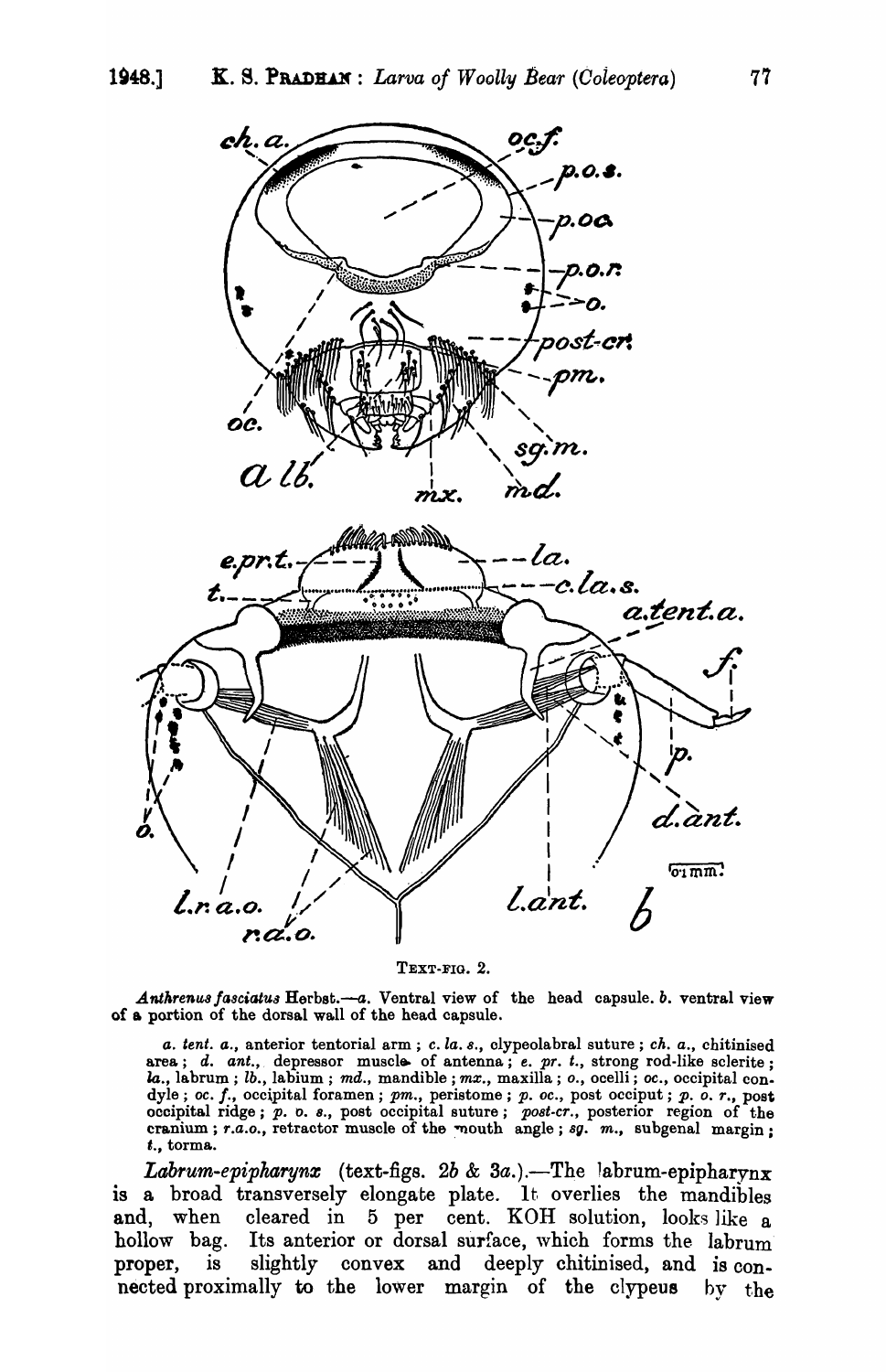

TEXT-FIG. 2.

Anthrenus fasciatus Herbst.—a. Ventral view of the head capsule. b. ventral view of a portion of the dorsal wall of the head capsule.

a. tent. a., anterior tentorial arm; c. la. s., clypeolabral suture; ch. a., chitinised area; d. ant., depressor muscle of antenna; e. pr. t., strong rod-like sclerite; la., labrum; lb., labium; md., mandible; mx., maxilla; o., ocelli; oc., occipital condyle; oc. f., occipital foramen; pm., peristome; p. oc., post occiput; p. o. r., post occipital ridge; p. o. s., post occipital suture; post-cr., posterior region of the cranium; r.a.o., retractor muscle of the mouth angl t., torma.

*Labrum-epipharynx* (text-figs. 2b & 3a.).—The labrum-epipharynx is a broad transversely elongate plate. It overlies the mandibles and, when cleared in 5 per cent. KOH solution, looks like a hollow bag. Its anterior or dorsal surface, which forms the labrum slightly convex and deeply chitinised, and is conproper,  $i<sub>s</sub>$ nected proximally to the lower margin of the clypeus by the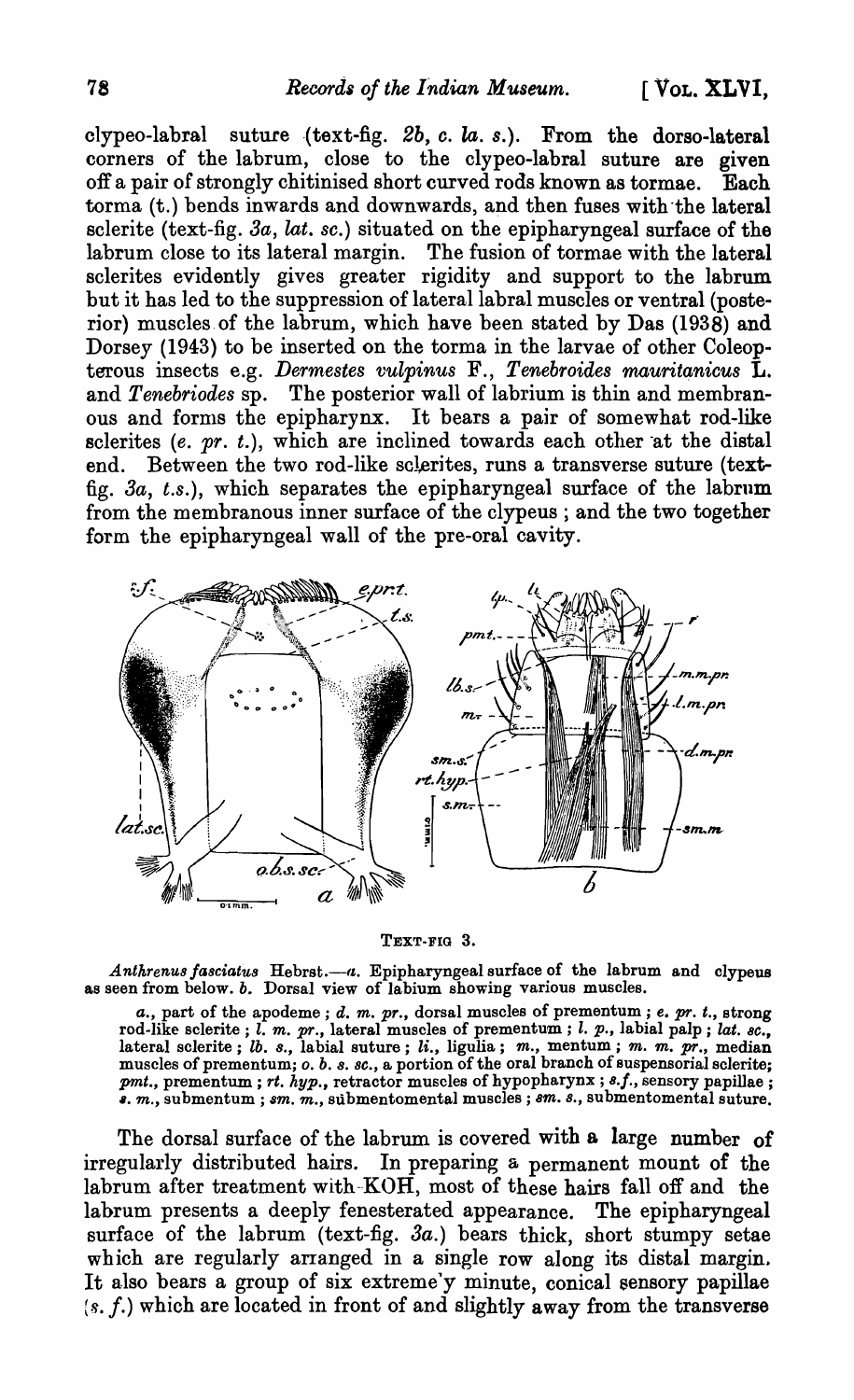clypeo-labral suture (text-fig.  $2b$ ,  $c$ .  $la$ .  $s$ .). From the dorso-lateral corners of the labrum, close to the clypeo-labral suture are given off a pair of strongly chitinised short curved rods known as tormae. Each torma (t.) bends inwards and downwards, and then fuses with-the lateral sclerite (text-fig. *3a, lat. se.)* situated on the epipharyngeal surface of the labrum close to its lateral margin. The fusion of tormae with the lateral sclerites evidently gives greater rigidity and support to the labrum but it has led to the suppression of lateral labral muscles or ventral (posterior) muscles of the labrum, which have been stated by Das (1938) and Dorsey (1943) to be inserted on the torma in the larvae of other Coleopterous insects e.g. *Dermestes vulpinus* F., *Tenebroides mauritanieus* L. and *Tenebriodes* sp. The posterior wall of labrium is thin and membranous and forms the epipharynx. It bears a pair of somewhat rod-like sclerites  $(e. pr. t.)$ , which are inclined towards each other at the distal end. Between the two rod-like sclerites, runs a transverse suture (textfig. *3a, t.s.),* which separates the epipharyngeal surface of the labrum from the membranous inner surface of the clypeus ; and the two together form the epipharyngeal wall of the pre-oral cavity.



#### TEXT-FIG 3.

Anthrenus fasciatus Hebrst.--a. Epipharyngeal surface of the labrum and clypeus as seen from below. *b.* Dorsal view of labium showing various muscles.

*a.*, part of the apodeme; *d. m. pr.*, dorsal muscles of prementum; *e. pr. t.*, strong rod-like sclerite; *l. m. pr.*, lateral muscles of prementum; *l. p.*, labial palp; *lat. sc.*, lateral sclerite; lb. 8., labial suture; li., ligulia; *m.,* mentum; *m. m.* pr., median muscles of prementum; *O. b.* 8. *8C.,* a portion of the oral branch of suspensorial sclerite; pmt., prementum; rt. *hyp.*, retractor muscles of hypopharynx; 8.f., sensory papillae; *6. m.,* submentum ; *8m. m.,* submentomental muscles; *sm.* 8., submentomental suture.

The dorsal surface of the labrum is covered with a large number of irregularly distributed hairs. In preparing a permanent mount of the labrum after treatment with-KOH, most of these hairs fall off and the labrum presents a deeply fenesterated appearance. The epipharyngeal surface of the labrum (text-fig. *3a.)* bears thick, short stumpy setae which are regularly arranged in a single row along its distal margin. It also bears a group of six extreme'y minute, conical sensory papillae (s. *f.)* which are located in front of and slightly away from the transverse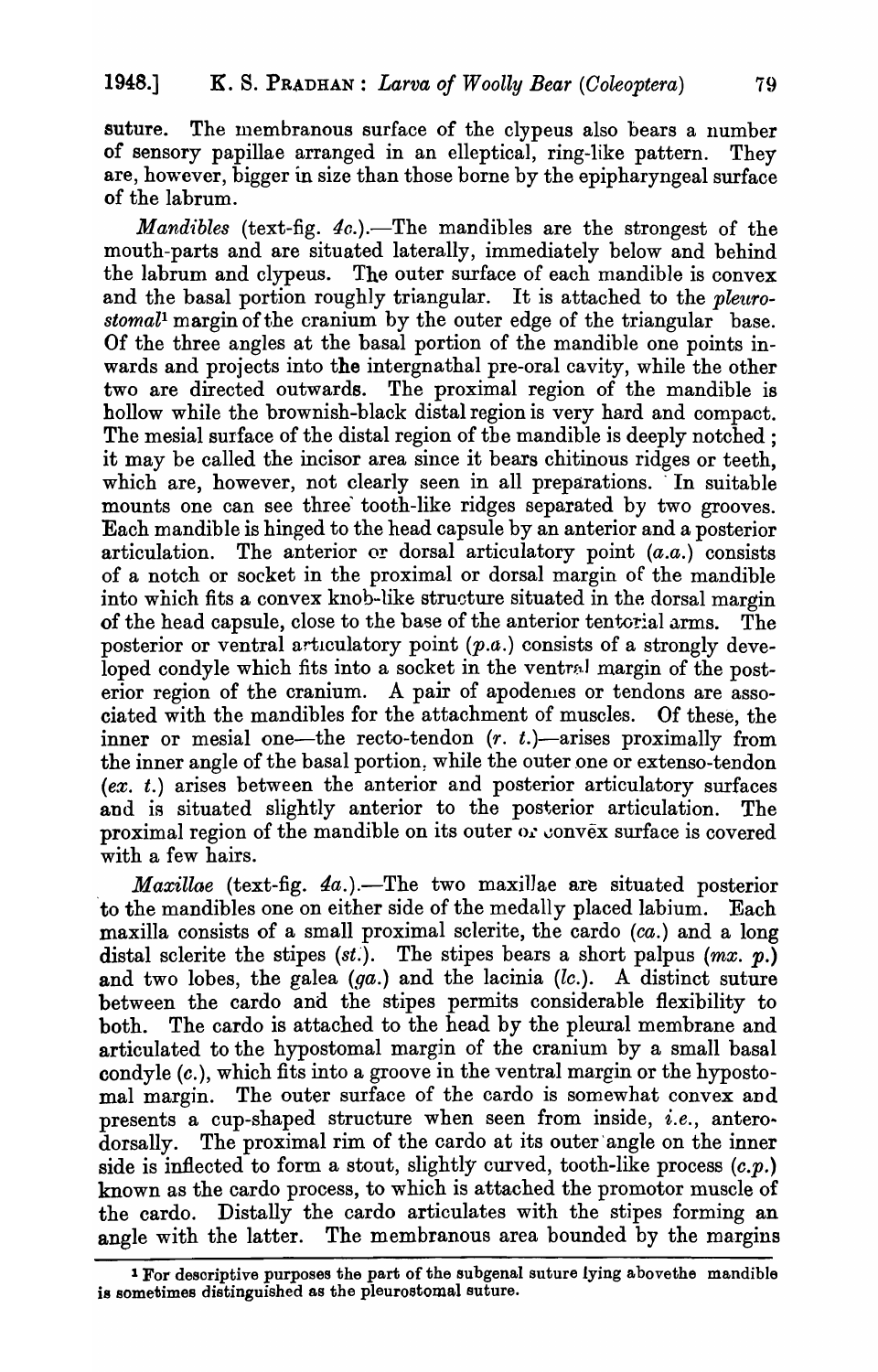suture. The membranous surface of the clypeus also bears a number of sensory papillae arranged in an elleptical, ring-like pattern. They are, however, bigger in size than those borne by the epipharyngeal surface of the labrum.

*Mandibles* (text-fig. 4c.).—The mandibles are the strongest of the mouth-parts and are situated laterally, immediately below and behind the labrum and clypeus. The outer surface of each mandible is convex and the basal portion roughly triangular. It is attached to the *pleuro*stomal<sup>1</sup> margin of the cranium by the outer edge of the triangular base. Of the three angles at the basal portion of the mandible one points inwards and projects into the intergnathal pre-oral cavity, while the other two are directed outwards. The proximal region of the mandible is hollow while the brownish-black distal region is very hard and compact. The mesial surface of the distal region of the mandible is deeply notched; it may be called the incisor area since it bears chitinous ridges or teeth, which are, however, not clearly seen in all preparations. In suitable mounts one can see three tooth-like ridges separated by two grooves. Each mandible is hinged to the head capsule by an anterior and a posterior articulation. The anterior or dorsal articulatory point  $(a.a.)$  consists of a notch or socket in the proximal or dorsal margin of the mandible into which fits a convex knob-like structure situated in the dorsal margin of the head capsule, close to the base of the anterior tentorial arms. The posterior or ventral articulatory point  $(p.a.)$  consists of a strongly developed condyle which fits into a socket in the ventral margin of the posterior region of the cranium. A pair of apodemes or tendons are associated with the mandibles for the attachment of muscles. Of these, the inner or mesial one—the recto-tendon  $(r, t.)$ —arises proximally from the inner angle of the basal portion, while the outer one or extenso-tendon  $(ex. t.)$  arises between the anterior and posterior articulatory surfaces and is situated slightly anterior to the posterior articulation. The proximal region of the mandible on its outer  $\alpha$ : convex surface is covered with a few hairs.

*Maxillae* (text-fig. 4a.).—The two maxillae are situated posterior to the mandibles one on either side of the medally placed labium. Each maxilla consists of a small proximal sclerite, the cardo (ca.) and a long distal sclerite the stipes *(st.)*. The stipes bears a short palpus *(mx. p.)* and two lobes, the galea  $(ga.)$  and the lacinia  $(lc.)$ . A distinct suture between the cardo and the stipes permits considerable flexibility to both. The cardo is attached to the head by the pleural membrane and articulated to the hypostomal margin of the cranium by a small basal condyle (c.), which fits into a groove in the ventral margin or the hypostomal margin. The outer surface of the cardo is somewhat convex and presents a cup-shaped structure when seen from inside, *i.e.*, anterodorsally. The proximal rim of the cardo at its outer'angle on the inner side is inflected to form a stout, slightly curved, tooth-like process  $(c, p)$ . known as the cardo process, to which is attached the promotor muscle of the cardo. Distally the cardo articulates with the stipes forming an angle with the latter. The membranous area bounded by the margins

<sup>1</sup> For desoriptive purposes the part of the subgenal suture lying abovethe mandible is sometimes distinguished as the pleurostomal suture.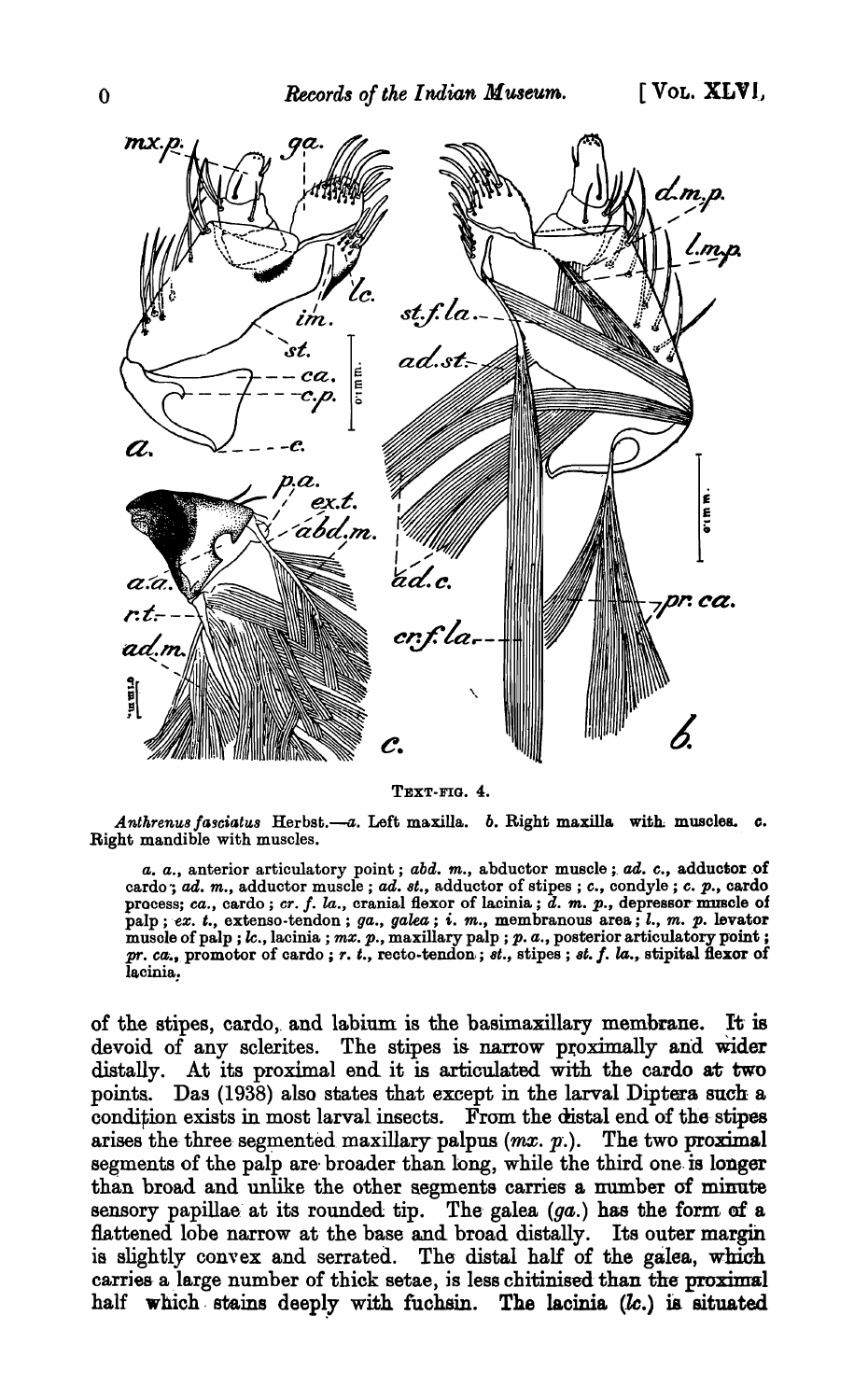

TEXT-FIG. 4.

Anthrenus fasciatus Herbst.-a. Left maxilla. b. Right maxilla with muscles. c. Right mandible with muscles.

a. a., anterior articulatory point; abd. m., abductor muscle; ad. c., adductor of cardo; ad. m., adductor muscle; ad. st., adductor of stipes; c., condyle; c. p., cardo process; ca., cardo; cr. f. la., cranial flexor of lacinia; d. m. p., depressor muscle of palp; ex. t., extenso-tendon; ga., galea; i. m., membranous area; l., m. p. levator muscle of palp;  $k$ ., lacinia;  $mx$ .  $p$ ., maxillary palp;  $p$ .  $a$ ., posterior articulatory point;  $pr. ca$ ., promotor of cardo;  $r. t$ ., recto-tendon;  $st.$ , stipes;  $st. f. la$ ., stipital flexor of lacinia.

of the stipes, cardo, and labium is the basimaxillary membrane. It is devoid of any sclerites. The stipes is narrow proximally and wider distally. At its proximal end it is articulated with the cardo at two points. Das (1938) also states that except in the larval Diptera such a condition exists in most larval insects. From the distal end of the stipes arises the three segmented maxillary palpus  $(mx, p.)$ . The two proximal segments of the palp are broader than long, while the third one is longer than broad and unlike the other segments carries a number of minute sensory papillae at its rounded tip. The galea (ga.) has the form of a flattened lobe narrow at the base and broad distally. Its outer margin is slightly convex and serrated. The distal half of the galea, which carries a large number of thick setae, is less chitinised than the proximal half which stains deeply with fuchsin. The lacinia (lc.) is situated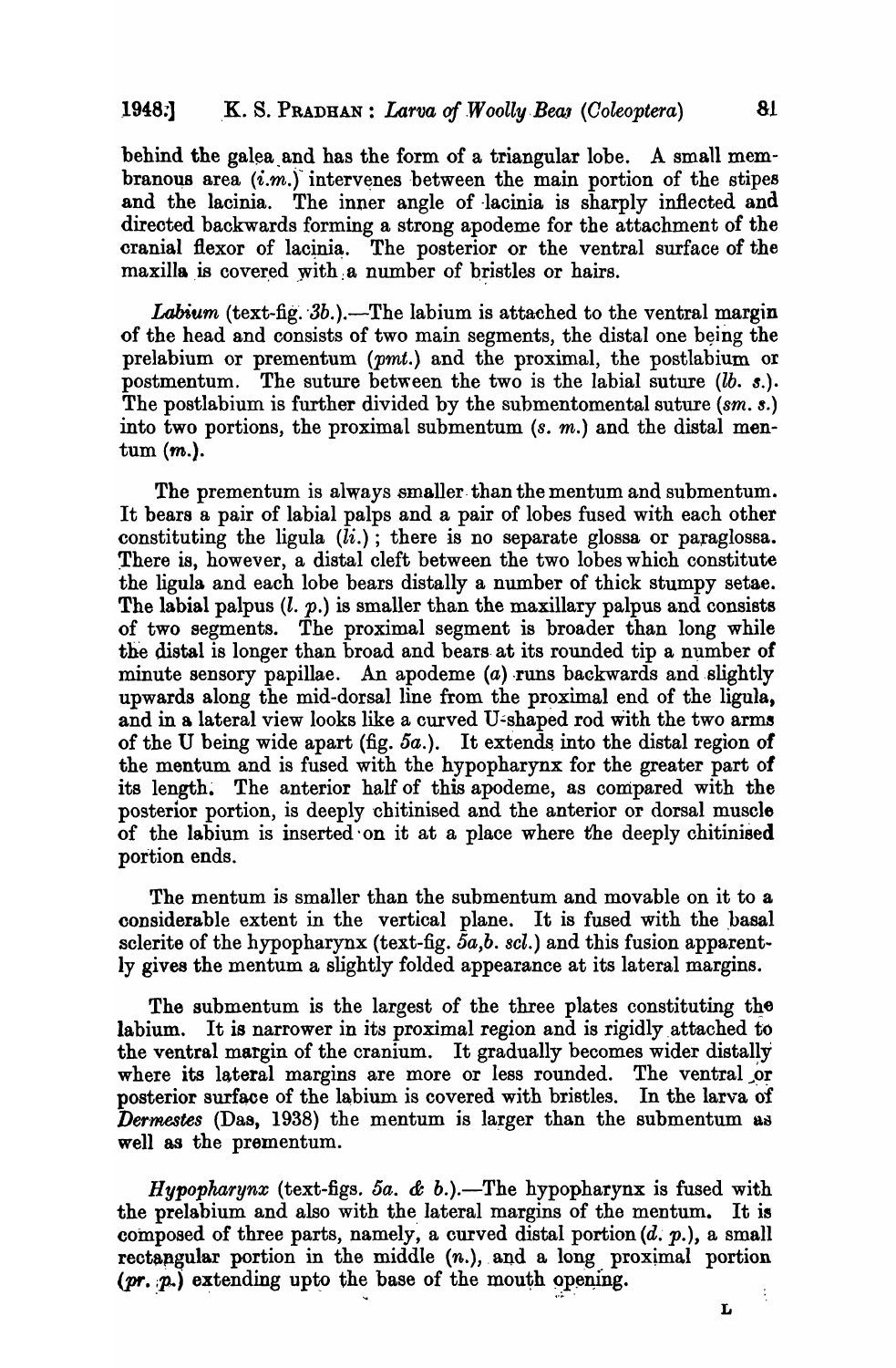# 1948:] K. S. PRADHAN : *Larva of Woolly Bear (Coleoptera)* 81

behind the galea and has the form of a triangular lobe. A small membranous area  $(i.m.)$  intervenes between the main portion of the stipes and the lacinia. The inner angle of lacinia is sharply inflected and directed backwards forming a strong apodeme for the attachment of the cranial flexor of lacinia. The posterior or the ventral surface of the maxilla is covered with a number of bristles or hairs.

Labium (text-fig. 3b.).—The labium is attached to the ventral margin of the head and consists of two main segments, the distal one being the prelabium or prementum (pmt.) and the proximal, the postlabium or postmentum. The suture between the two is the labial suture *(lb. \$.).*  The postlabium is further divided by the submentomental suture (sm. s.) into two portions, the proximal submentum  $(s, m)$  and the distal mentum (m.).

The prementum is always smaller-than the mentum and submentum. It bears a pair of labial palps and a pair of lobes fused with each other constituting the ligula  $(ii.)$ ; there is no separate glossa or paraglossa. There is, however, a distal cleft between the two lobes which constitute the ligula and each lobe bears distally a number of thick stumpy setae. The labial palpus  $(l, p)$  is smaller than the maxillary palpus and consists of two segments. The proximal segment is broader than long while the distal is longer than broad and bears at its rounded tip a number of minute sensory papillae. An apodeme  $(a)$  runs backwards and slightly upwards along the mid-dorsal line from the proximal end of the ligula, and in a lateral view looks like a curved U-shaped rod with the two arms of the U being wide apart (fig.  $5a$ .). It extends into the distal region of the mentum and is fused with the hypopharynx for the greater part of its length. The anterior half of this apodeme, as compared with the posterior portion, is deeply chitinised and the anterior or dorsal muscle of the labium is inserted' on it at a place where the deeply chitinised portion ends.

The mentum is smaller than the submentum and movable on it to a considerable extent in the vertical plane. It is fused with the basal sclerite of the hypopharynx (text-fig. 5a,b. scl.) and this fusion apparent-Iy gives the mentum a slightly folded appearance at its lateral margins.

The submentum is the largest of the three plates constituting the labium. It is narrower in its proximal region and is rigidly attached to the ventral margin of the cranium. It gradually becomes wider distally where its lateral margins are more or less rounded. The ventral or posterior surface of the labium is covered with bristles. In the larva of *Dermestes* (Das, 1938) the mentum is larger than the submentum as well as the prementum.

*Hypopharynx* (text-figs. *5a.* & *b.).-The* hypopharynx is fused with the prelabium and also with the lateral margins of the mentum. It is composed of three parts, namely, a curved distal portion  $(d, p)$ , a small rectangular portion in the middle  $(n.)$ , and a long proximal portion  $(pr, p.)$  extending upto the base of the mouth opening.

L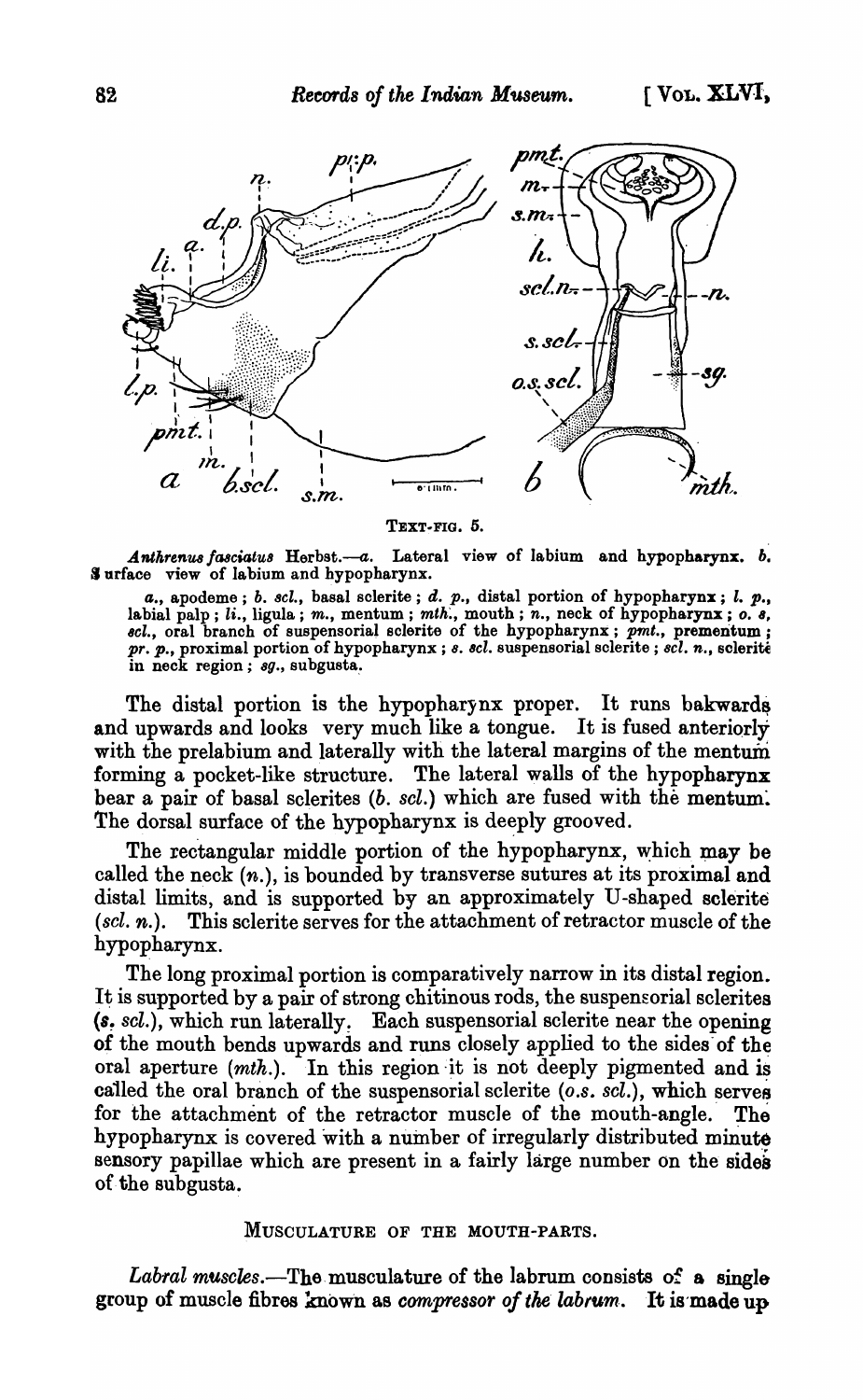

TEXT-FIG. 5.

Anthrenus fasciatus Herbst.--a. Lateral view of labium and hypopharynx. *b.* Surface view of labium and hypopharynx.

*a.,* apodeme; b. *8cl.,* basal sclerite; d. p., distal portion of hypopharynx; I. p., labial palp; *li.*, ligula; *m.*, mentum; *mth.*, mouth; *n.*, neck of hypopharynx; o. s. *8cl.,* oral branch of suspensorial sclerite of the hypopharynx; *pmt.,* premeritum; pr. p., proximal portion of hypopharynx; *s. scl.* suspensorial sclerite; *scl. n.*, sclerite in neck region; sg., subgusta.

The distal portion is the hypopharynx proper. It runs bakwards and upwards and looks very much like a tongue. It is fused anteriorly with the prelabium and laterally with the lateral margins of the mentum forming a pocket-like structure. The lateral walls of the hypopharynx bear a pair of basal sclerites (b. scl.) which are fused with the mentum. The dorsal surface of the hypopharynx is deeply grooved.

The rectangular middle portion of the hypopharynx, which may be called the neck (n.), is bounded by transverse sutures at its proximal and distal limits, and is supported by an approximately U -shaped sclerite *(sel. n.).* This sclerite serves for the attachment of retractor muscle of the hypopharynx.

The long proximal portion is comparatively narrow in its distal region. It is supported by a pair of strong chitinous rods, the suspensorial sclerites (8~ *sel.),* which run lateral1y~ Each suspensorial sclerite near the opening of the mouth bends upwards and runs closely applied to the sides of the oral aperture  $(mth.)$ . In this region it is not deeply pigmented and is called the oral branch of the suspensorial sclerite (*o.s. scl.*), which serves for the attachment of the retractor muscle of the mouth-angle. The hypopharynx is covered with a number of irregularly distributed minute sensory papillae which are present in a fairly large number on the sides of the subgusta.

#### MUSCULATURE OF THE MOUTH-PARTS.

*Labral muscles.*—The musculature of the labrum consists of a single group of muscle fibres known as *compressor of the labrum*. It is made up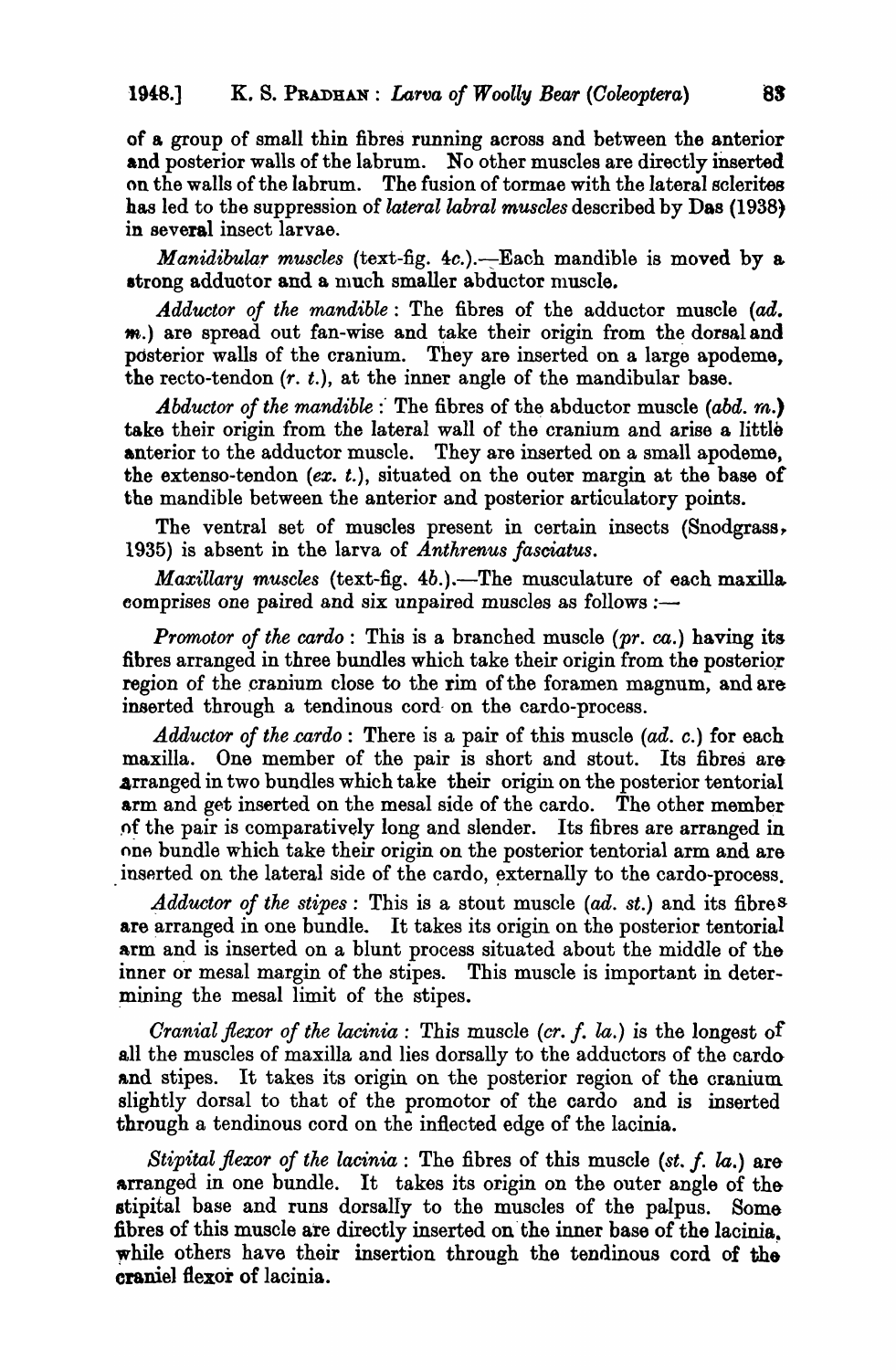of a group of small thin fibres running across and between the anterior and posterior walls of the labrum. No other muscles are directly inserted on the walls of the labrum. The fusion of tormae with the lateral sclerites has led to the suppression of *lateral labral muscles* described by Das (1938) in several insect larvae.

*Manidibular muscles* (text-fig. 4c.).—Each mandible is moved by a strong adductor and a much smaller abductor muscle.

*Adductor of the mandible:* The fibres of the adductor muscle (ad. m.) are spread out fan-wise and take their origin from the dorsal and pdsterior walls of the cranium. They are inserted on a large apodeme, the recto-tendon  $(r, t)$ , at the inner angle of the mandibular base.

*Abductor of the mandible* : The fibres of the abductor muscle *(abd. m.)* take their origin from the lateral wall of the cranium and arise a little anterior to the adductor muscle. They are inserted on a small apodeme, the extenso-tendon  $(ex. t.)$ , situated on the outer margin at the base of the mandible between the anterior and posterior articulatory points.

The ventral set of muscles present in certain insects (Snodgrass, 1935) is absent in the larva of *Anthrenus fasciatus.* 

*Maxillary muscles* (text-fig. 4b.).—The musculature of each maxilla comprises one paired and six unpaired muscles as follows :-

*Promotor of the cardo:* This is a branched muscle *(pr. ca.)* having its fibres arranged in three bundles which take their origin from the posterior region of the cranium close to the rim of the foramen magnum, and are inserted through a tendinous cord- on the cardo-process.

Adductor of the cardo: There is a pair of this muscle (ad. c.) for each maxilla. One member of the pair is short and stout. Its fibres are arranged in two bundles which take their origin on the posterior tentorial arm and get inserted on the mesal side of the cardo. The other member .of the pair is comparatively long and slender. Its fibres are arranged in one bundle which take their origin on the posterior tentorial arm and are inserted on the lateral side of the cardo, externally to the cardo-process.

*4dductor of the stipes:* This is a stout muscle (ad. *st.)* and its fibres are arranged in one bundle. It takes its origin on the posterior tentorial arm and is inserted on a blunt process situated about the middle of the inner or mesal margin of the stipes. This muscle is important in deter mining the mesal limit of the stipes.

*Cranial flexor of the lacinia:* This muscle *(cr.* f. la.) is the longest of all the muscles of maxilla and lies dorsally to the adductors of the cardaand stipes. It takes its origin on the posterior region of the cranium. slightly dorsal to that of the promotor of the cardo and is inserted through a tendinous cord on the inflected edge of the lacinia.

*Stipital flexor of the lacinia:* The fibres of this muscle *(st.* f. la.) are arranged in one bundle. It takes its origin on the outer angle of thestipital base and runs dorsally to the muscles of the palpus. Some fibres of this muscle are directly inserted on the inner base of the lacinia. while others have their insertion through the tendinous cord of the craniel flexor of lacinia.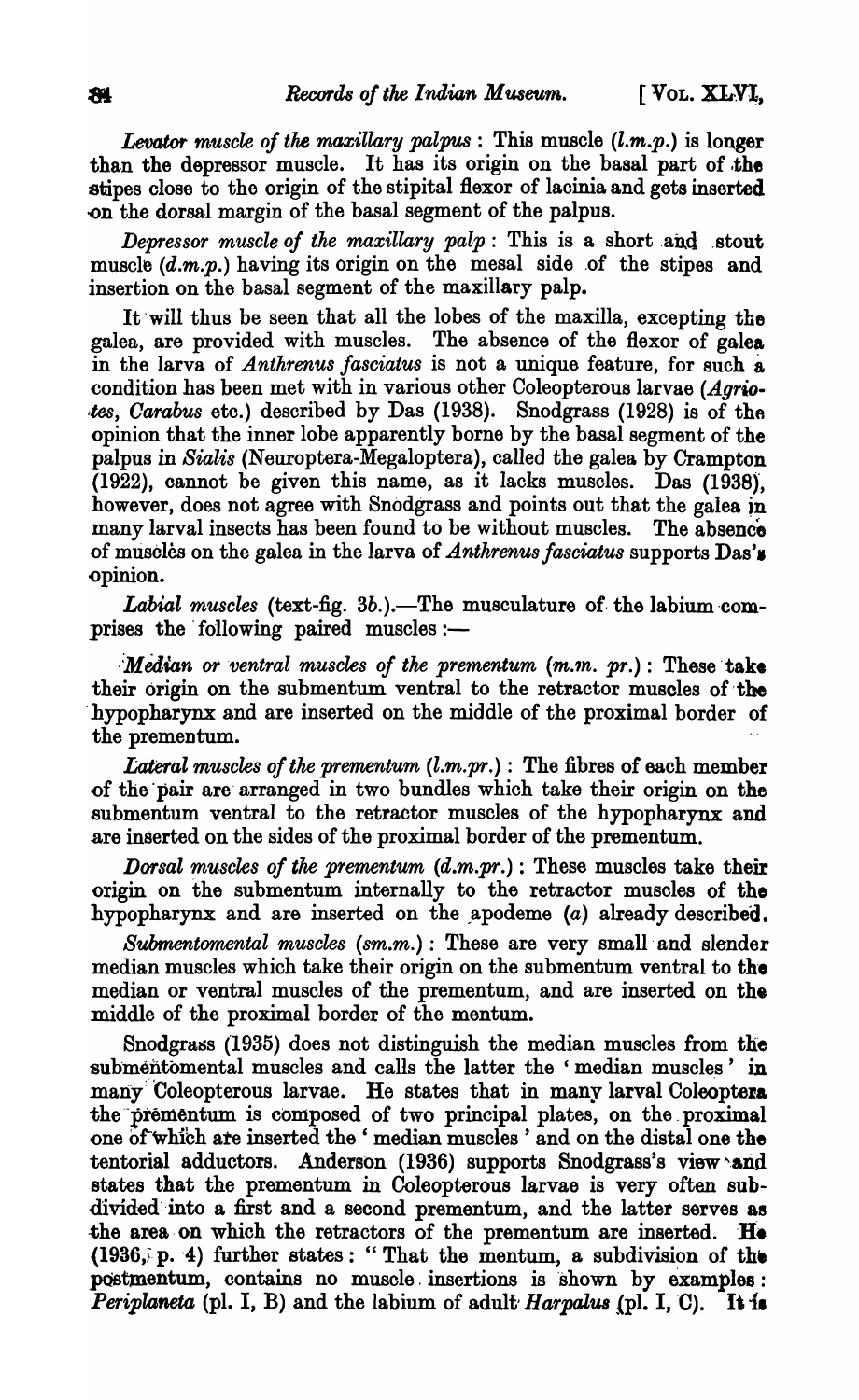Levator *muscle of the maxillary palpus:* This muscle *(l.m.p.)* is longer than the depressor muscle. It has its origin on the basal part of the stipes close to the origin of the stipital flexor of lacinia and gets inserted -on the dorsal margin of the basal segment of the palpus.

*Depressor muscle of the maxillary palp*: This is a short and stout muscle  $(d,m,p)$  having its origin on the mesal side of the stipes and insertion on the basal segment of the maxillary palp.

It 'will thus be seen that all the lobes of the maxilla, excepting the galea, are provided with muscles. The absence of the flexor of galea in the larva of *Anthrenus fasciatus* is not a unique feature, for such a condition has been met with in various other Coleopterous larvae *(Agrio tes, Carabus* etc.) described by Das (1938). Snodgrass (1928) is of the opinion that the inner lobe apparently borne by the basal segment of the palpus in *Sialis* (Neuroptera-Megaloptera), called the galea by Crampton  $(1922)$ , cannot be given this name, as it lacks muscles. Das  $(1938)$ , however, does not agree with Snodgrass and points out that the galea jn many larval insects has been found to be without muscles. The absence of muscles on the galea in the larva of *Anthrenus fasciatus* supports Das's .opinion.

*Labial muscles* (text-fig. 3b.).—The musculature of the labium comprises the following paired muscles: $-$ 

*Median or ventral muscles of the prementum*  $(m.n. pr.)$ *: These take* their origin on the submentum ventral to the retractor muscles of the hypopharynx and are inserted on the middle of the proximal border of the prementum.

*Lateral muscles of the prementum*  $(l.m.pr.)$ *: The fibres of each member* .of the 'pair are' arranged in two bundles which take their origin on the submentum ventral to the retractor muscles of the hypopharynx and .are inserted on the sides of the proximal border of the prementum.

*Dorsal muscles of the prementum (d.m.pr.)* : These muscles take their origin on the submentum internally to the retractor muscles of the hypopharynx and are inserted on the apodeme  $(a)$  already described.

*Submentomental muscles* (sm.m.) : These are very small and slender median muscles which take their origin on the submentum ventral to the median or ventral muscles of the prementum, and are inserted on the middle of the proximal border of the mentum.

Snodgrass (1935) does not distinguish the median muscles from the submentomental muscles and calls the latter the 'median muscles' in many Coleopterous larvae. He states that in many larval Coleoptera the prementum is composed of two principal plates, on the proximal one of which are inserted the ' median muscles ' and on the distal one the tentorial adductors. Anderson  $(1936)$  supports Snodgrass's view and states that the prementum in Coleopterons larvae is very often subdivided into a first and a second prementum, and the latter serves as the area on which the retractors of the prementum are inserted.  $He$  $(1936, p. 4)$  further states: "That the mentum, a subdivision of the postmentum, contains no muscle insertions is shown by examples: *Periplaneta* (pl. I, B) and the labium of adult *Harpalus* (pl. I, C). It is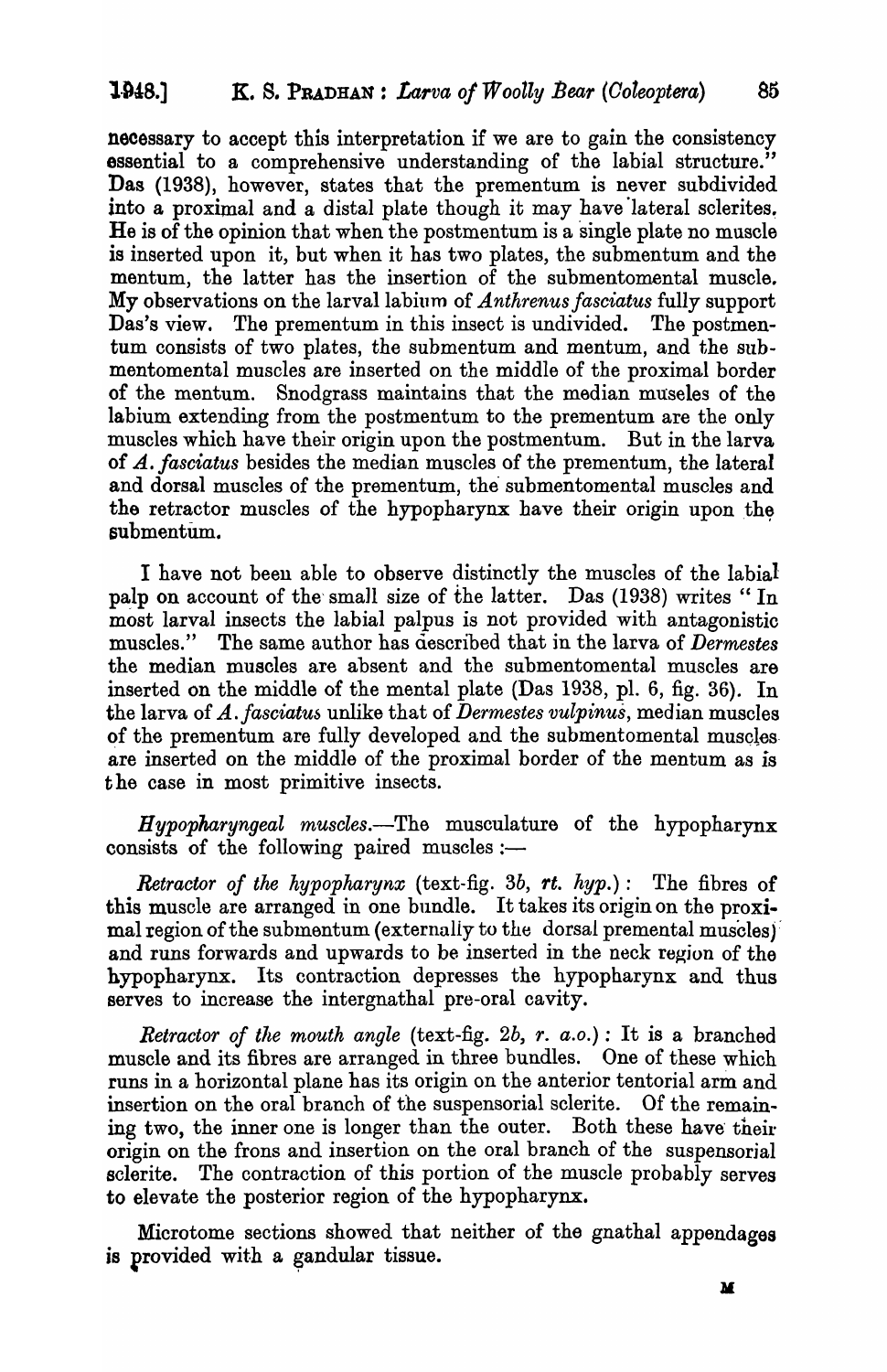necessary to accept this interpretation if we are to gain the consistency essential to a comprehensive understanding of the labial structure." Das (1938), however, states that the prementum is never subdivided into a proximal and a distal plate though it may have lateral sclerites. He is of the opinion that when the postmentum is a single plate no muscle is inserted upon it, but when it has two plates, the submentum and the mentum, the latter has the insertion of the submentomental muscle. My observations on the larval labium of *Anthrenus fasciatus* fully support Das's view. The prementum in this insect is undivided. The postmentum consists of two plates, the submentum and mentum, and the submentomental muscles are inserted on the middle of the proximal border of the mentum. Snodgrass maintains that the median museles of the labium extending from the postmentum to the prementum are the only muscles which have their origin upon the postmentum. But in the larva of A.. *fasciatus* besides the median muscles of the prementum, the lateral and dorsal muscles of the prementum, the submentomental muscles and the retractor muscles of the hypopharynx have their origin upon the submentum.

I have not been able to observe distinctly the muscles of the labial palp on account of the small size of the latter. Das (1938) writes "In most larval insects the labial palpus is not provided with antagonistic muscles." The same author has described that in the larva of *Dermestes* the median muscles are absent and the submentomental muscles are inserted on the middle of the mental plate (Das 1938, pI. 6, fig. 36). In the larva of *A. fasciatus* unlike that of *Dermestes vulpinus*, median muscles of the prementum are fully developed and the submentomental muscles. are inserted on the middle of the proximal border of the mentum as *is*  the case in most primitive insects.

*Hypopharyngeal muscles.*—The musculature of the hypopharynx consists of the following paired muscles :-

*Retractor of the hypopharynx* (text-fig. *3b, rt. hyp.):* The fibres of this muscle are arranged in one bundle. It takes its origin on the proximal region of the submentum (externally to the dorsal premental muscles) and runs forwards and upwards to be inserted in the neck region of the hypopharynx. Its contraction depresses the hypopharynx and thus serves to increase the intergnathal pre-oral cavity.

*Retractor of the mouth angle* (text-fig. 2b,  $r.$   $a.o.$ ) : It is a branched muscle and its fibres are arranged in three bundles. One of these which runs in a horizontal plane has its origin on the anterior tentorial arm and insertion on the oral branch of the suspensorial sclerite. Of the remaining two, the inner one is longer than the outer. Both these have their origin on the frons and insertion on the oral branch of the suspensorial sclerite. The contraction of this portion of the muscle probably serves to elevate the posterior region of the hypopharynx.

Microtome sections showed that neither of the gnathal appendages is provided with a gandular tissue.